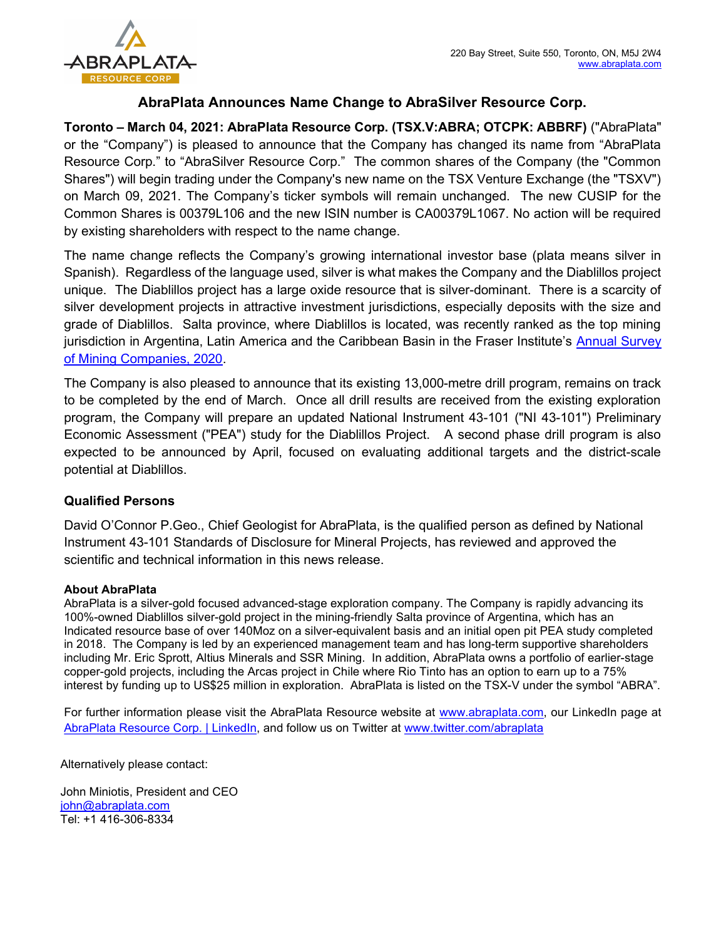

## AbraPlata Announces Name Change to AbraSilver Resource Corp.

Toronto – March 04, 2021: AbraPlata Resource Corp. (TSX.V:ABRA; OTCPK: ABBRF) ("AbraPlata" or the "Company") is pleased to announce that the Company has changed its name from "AbraPlata Resource Corp." to "AbraSilver Resource Corp." The common shares of the Company (the "Common Shares") will begin trading under the Company's new name on the TSX Venture Exchange (the "TSXV") on March 09, 2021. The Company's ticker symbols will remain unchanged. The new CUSIP for the Common Shares is 00379L106 and the new ISIN number is CA00379L1067. No action will be required by existing shareholders with respect to the name change.

The name change reflects the Company's growing international investor base (plata means silver in Spanish). Regardless of the language used, silver is what makes the Company and the Diablillos project unique. The Diablillos project has a large oxide resource that is silver-dominant. There is a scarcity of silver development projects in attractive investment jurisdictions, especially deposits with the size and grade of Diablillos. Salta province, where Diablillos is located, was recently ranked as the top mining jurisdiction in Argentina, Latin America and the Caribbean Basin in the Fraser Institute's Annual Survey of Mining Companies, 2020.

The Company is also pleased to announce that its existing 13,000-metre drill program, remains on track to be completed by the end of March. Once all drill results are received from the existing exploration program, the Company will prepare an updated National Instrument 43-101 ("NI 43-101") Preliminary Economic Assessment ("PEA") study for the Diablillos Project. A second phase drill program is also expected to be announced by April, focused on evaluating additional targets and the district-scale potential at Diablillos.

## Qualified Persons

David O'Connor P.Geo., Chief Geologist for AbraPlata, is the qualified person as defined by National Instrument 43-101 Standards of Disclosure for Mineral Projects, has reviewed and approved the scientific and technical information in this news release.

## About AbraPlata

AbraPlata is a silver-gold focused advanced-stage exploration company. The Company is rapidly advancing its 100%-owned Diablillos silver-gold project in the mining-friendly Salta province of Argentina, which has an Indicated resource base of over 140Moz on a silver-equivalent basis and an initial open pit PEA study completed in 2018. The Company is led by an experienced management team and has long-term supportive shareholders including Mr. Eric Sprott, Altius Minerals and SSR Mining. In addition, AbraPlata owns a portfolio of earlier-stage copper-gold projects, including the Arcas project in Chile where Rio Tinto has an option to earn up to a 75% interest by funding up to US\$25 million in exploration. AbraPlata is listed on the TSX-V under the symbol "ABRA".

For further information please visit the AbraPlata Resource website at www.abraplata.com, our LinkedIn page at AbraPlata Resource Corp. | LinkedIn, and follow us on Twitter at www.twitter.com/abraplata

Alternatively please contact:

John Miniotis, President and CEO john@abraplata.com Tel: +1 416-306-8334